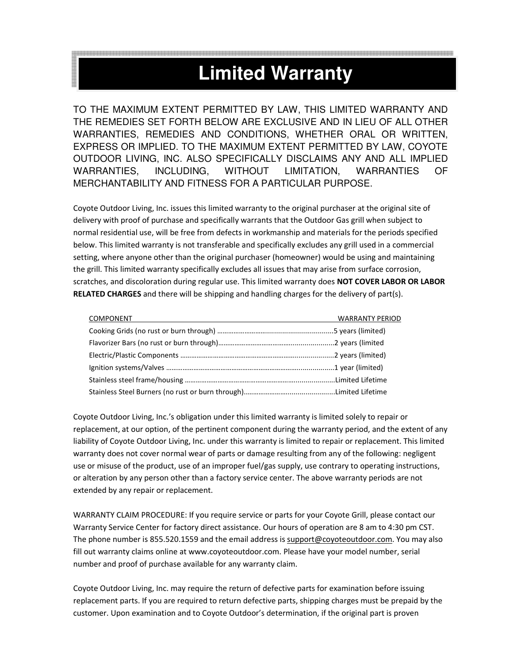## **Limited Warranty**

TO THE MAXIMUM EXTENT PERMITTED BY LAW, THIS LIMITED WARRANTY AND THE REMEDIES SET FORTH BELOW ARE EXCLUSIVE AND IN LIEU OF ALL OTHER WARRANTIES, REMEDIES AND CONDITIONS, WHETHER ORAL OR WRITTEN, EXPRESS OR IMPLIED. TO THE MAXIMUM EXTENT PERMITTED BY LAW, COYOTE OUTDOOR LIVING, INC. ALSO SPECIFICALLY DISCLAIMS ANY AND ALL IMPLIED WARRANTIES, INCLUDING, WITHOUT LIMITATION, WARRANTIES OF MERCHANTABILITY AND FITNESS FOR A PARTICULAR PURPOSE.

Coyote Outdoor Living, Inc. issues this limited warranty to the original purchaser at the original site of delivery with proof of purchase and specifically warrants that the Outdoor Gas grill when subject to normal residential use, will be free from defects in workmanship and materials for the periods specified below. This limited warranty is not transferable and specifically excludes any grill used in a commercial setting, where anyone other than the original purchaser (homeowner) would be using and maintaining the grill. This limited warranty specifically excludes all issues that may arise from surface corrosion, scratches, and discoloration during regular use. This limited warranty does **NOT COVER LABOR OR LABOR RELATED CHARGES** and there will be shipping and handling charges for the delivery of part(s).

| <b>COMPONENT</b> COMPONENT | <b>WARRANTY PERIOD</b> |
|----------------------------|------------------------|
|                            |                        |
|                            |                        |
|                            |                        |
|                            |                        |
|                            |                        |
|                            |                        |

Coyote Outdoor Living, Inc.'s obligation under this limited warranty is limited solely to repair or replacement, at our option, of the pertinent component during the warranty period, and the extent of any liability of Coyote Outdoor Living, Inc. under this warranty is limited to repair or replacement. This limited warranty does not cover normal wear of parts or damage resulting from any of the following: negligent use or misuse of the product, use of an improper fuel/gas supply, use contrary to operating instructions, or alteration by any person other than a factory service center. The above warranty periods are not extended by any repair or replacement.

WARRANTY CLAIM PROCEDURE: If you require service or parts for your Coyote Grill, please contact our Warranty Service Center for factory direct assistance. Our hours of operation are 8 am to 4:30 pm CST. The phone number is 855.520.1559 and the email address is support@coyoteoutdoor.com. You may also fill out warranty claims online at www.coyoteoutdoor.com. Please have your model number, serial number and proof of purchase available for any warranty claim.

Coyote Outdoor Living, Inc. may require the return of defective parts for examination before issuing replacement parts. If you are required to return defective parts, shipping charges must be prepaid by the customer. Upon examination and to Coyote Outdoor's determination, if the original part is proven